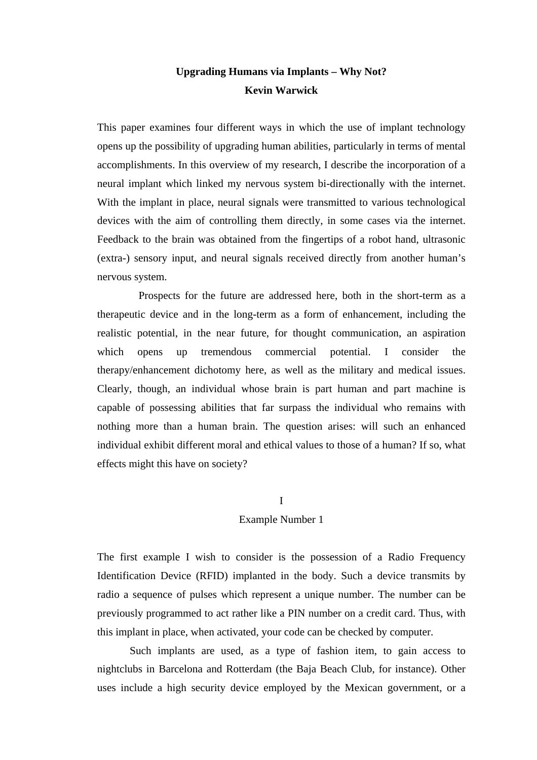# **Upgrading Humans via Implants – Why Not? Kevin Warwick**

This paper examines four different ways in which the use of implant technology opens up the possibility of upgrading human abilities, particularly in terms of mental accomplishments. In this overview of my research, I describe the incorporation of a neural implant which linked my nervous system bi-directionally with the internet. With the implant in place, neural signals were transmitted to various technological devices with the aim of controlling them directly, in some cases via the internet. Feedback to the brain was obtained from the fingertips of a robot hand, ultrasonic (extra-) sensory input, and neural signals received directly from another human's nervous system.

 Prospects for the future are addressed here, both in the short-term as a therapeutic device and in the long-term as a form of enhancement, including the realistic potential, in the near future, for thought communication, an aspiration which opens up tremendous commercial potential. I consider the therapy/enhancement dichotomy here, as well as the military and medical issues. Clearly, though, an individual whose brain is part human and part machine is capable of possessing abilities that far surpass the individual who remains with nothing more than a human brain. The question arises: will such an enhanced individual exhibit different moral and ethical values to those of a human? If so, what effects might this have on society?

### I

# Example Number 1

The first example I wish to consider is the possession of a Radio Frequency Identification Device (RFID) implanted in the body. Such a device transmits by radio a sequence of pulses which represent a unique number. The number can be previously programmed to act rather like a PIN number on a credit card. Thus, with this implant in place, when activated, your code can be checked by computer.

Such implants are used, as a type of fashion item, to gain access to nightclubs in Barcelona and Rotterdam (the Baja Beach Club, for instance). Other uses include a high security device employed by the Mexican government, or a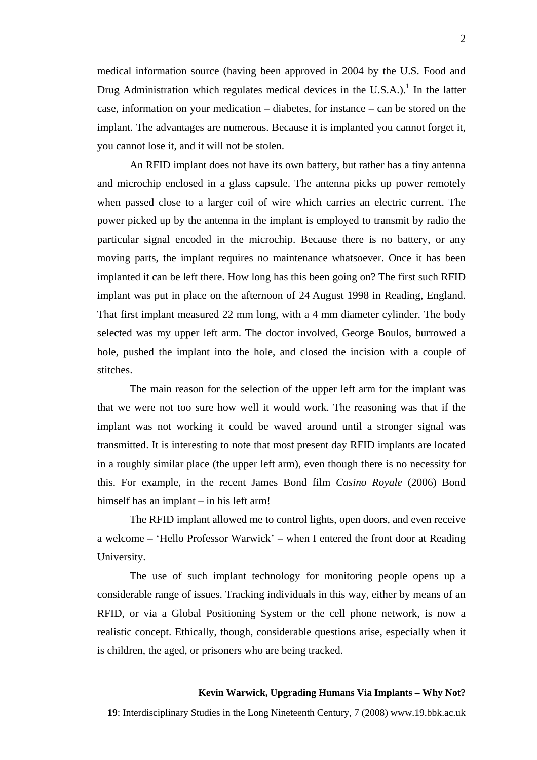medical information source (having been approved in 2004 by the U.S. Food and Drug Administration which regulates medical devices in the U.S.A.).<sup>[1](#page-9-0)</sup> In the latter case, information on your medication – diabetes, for instance – can be stored on the implant. The advantages are numerous. Because it is implanted you cannot forget it, you cannot lose it, and it will not be stolen.

An RFID implant does not have its own battery, but rather has a tiny antenna and microchip enclosed in a glass capsule. The antenna picks up power remotely when passed close to a larger coil of wire which carries an electric current. The power picked up by the antenna in the implant is employed to transmit by radio the particular signal encoded in the microchip. Because there is no battery, or any moving parts, the implant requires no maintenance whatsoever. Once it has been implanted it can be left there. How long has this been going on? The first such RFID implant was put in place on the afternoon of 24 August 1998 in Reading, England. That first implant measured 22 mm long, with a 4 mm diameter cylinder. The body selected was my upper left arm. The doctor involved, George Boulos, burrowed a hole, pushed the implant into the hole, and closed the incision with a couple of stitches.

The main reason for the selection of the upper left arm for the implant was that we were not too sure how well it would work. The reasoning was that if the implant was not working it could be waved around until a stronger signal was transmitted. It is interesting to note that most present day RFID implants are located in a roughly similar place (the upper left arm), even though there is no necessity for this. For example, in the recent James Bond film *Casino Royale* (2006) Bond himself has an implant – in his left arm!

The RFID implant allowed me to control lights, open doors, and even receive a welcome – 'Hello Professor Warwick' – when I entered the front door at Reading University.

The use of such implant technology for monitoring people opens up a considerable range of issues. Tracking individuals in this way, either by means of an RFID, or via a Global Positioning System or the cell phone network, is now a realistic concept. Ethically, though, considerable questions arise, especially when it is children, the aged, or prisoners who are being tracked.

### **Kevin Warwick, Upgrading Humans Via Implants – Why Not?**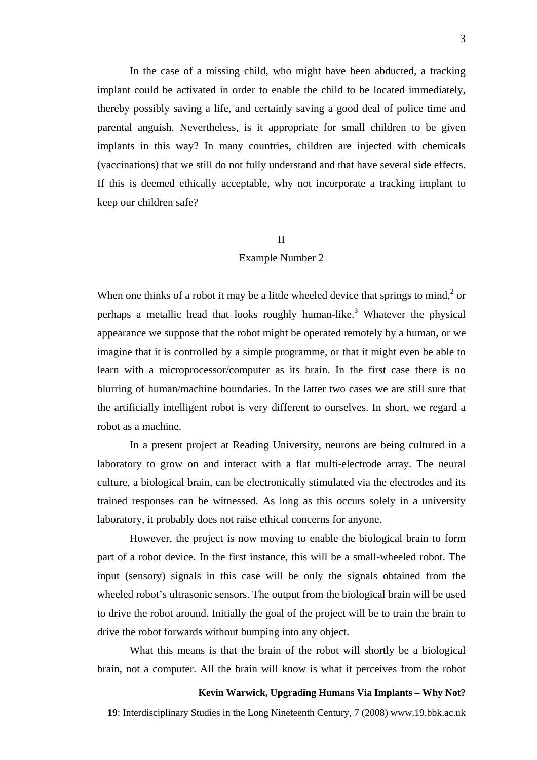In the case of a missing child, who might have been abducted, a tracking implant could be activated in order to enable the child to be located immediately, thereby possibly saving a life, and certainly saving a good deal of police time and parental anguish. Nevertheless, is it appropriate for small children to be given implants in this way? In many countries, children are injected with chemicals (vaccinations) that we still do not fully understand and that have several side effects. If this is deemed ethically acceptable, why not incorporate a tracking implant to keep our children safe?

### II

### Example Number 2

When one thinks of a robot it may be a little wheeled device that springs to mind, $2$  or perhaps a metallic head that looks roughly human-like.<sup>[3](#page-9-2)</sup> Whatever the physical appearance we suppose that the robot might be operated remotely by a human, or we imagine that it is controlled by a simple programme, or that it might even be able to learn with a microprocessor/computer as its brain. In the first case there is no blurring of human/machine boundaries. In the latter two cases we are still sure that the artificially intelligent robot is very different to ourselves. In short, we regard a robot as a machine.

In a present project at Reading University, neurons are being cultured in a laboratory to grow on and interact with a flat multi-electrode array. The neural culture, a biological brain, can be electronically stimulated via the electrodes and its trained responses can be witnessed. As long as this occurs solely in a university laboratory, it probably does not raise ethical concerns for anyone.

However, the project is now moving to enable the biological brain to form part of a robot device. In the first instance, this will be a small-wheeled robot. The input (sensory) signals in this case will be only the signals obtained from the wheeled robot's ultrasonic sensors. The output from the biological brain will be used to drive the robot around. Initially the goal of the project will be to train the brain to drive the robot forwards without bumping into any object.

What this means is that the brain of the robot will shortly be a biological brain, not a computer. All the brain will know is what it perceives from the robot

### **Kevin Warwick, Upgrading Humans Via Implants – Why Not?**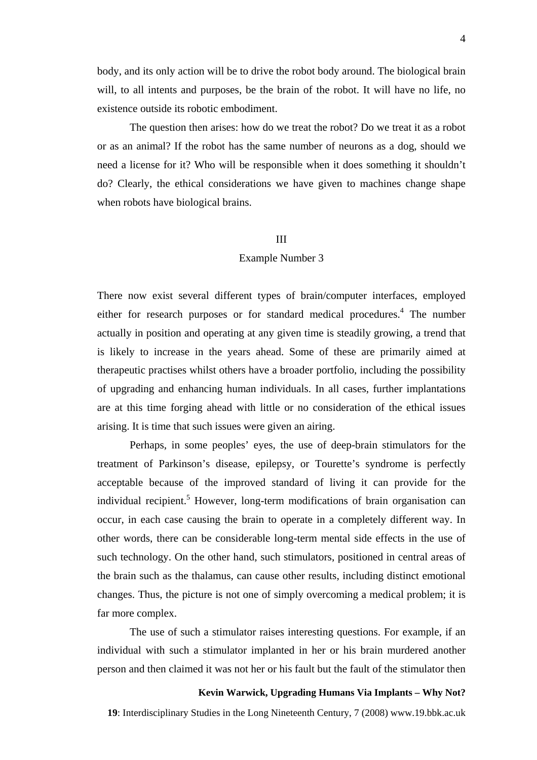body, and its only action will be to drive the robot body around. The biological brain will, to all intents and purposes, be the brain of the robot. It will have no life, no existence outside its robotic embodiment.

The question then arises: how do we treat the robot? Do we treat it as a robot or as an animal? If the robot has the same number of neurons as a dog, should we need a license for it? Who will be responsible when it does something it shouldn't do? Clearly, the ethical considerations we have given to machines change shape when robots have biological brains.

### III

#### Example Number 3

There now exist several different types of brain/computer interfaces, employed either for research purposes or for standard medical procedures.<sup>[4](#page-9-2)</sup> The number actually in position and operating at any given time is steadily growing, a trend that is likely to increase in the years ahead. Some of these are primarily aimed at therapeutic practises whilst others have a broader portfolio, including the possibility of upgrading and enhancing human individuals. In all cases, further implantations are at this time forging ahead with little or no consideration of the ethical issues arising. It is time that such issues were given an airing.

Perhaps, in some peoples' eyes, the use of deep-brain stimulators for the treatment of Parkinson's disease, epilepsy, or Tourette's syndrome is perfectly acceptable because of the improved standard of living it can provide for the individual recipient.<sup>[5](#page-9-3)</sup> However, long-term modifications of brain organisation can occur, in each case causing the brain to operate in a completely different way. In other words, there can be considerable long-term mental side effects in the use of such technology. On the other hand, such stimulators, positioned in central areas of the brain such as the thalamus, can cause other results, including distinct emotional changes. Thus, the picture is not one of simply overcoming a medical problem; it is far more complex.

The use of such a stimulator raises interesting questions. For example, if an individual with such a stimulator implanted in her or his brain murdered another person and then claimed it was not her or his fault but the fault of the stimulator then

# **Kevin Warwick, Upgrading Humans Via Implants – Why Not?**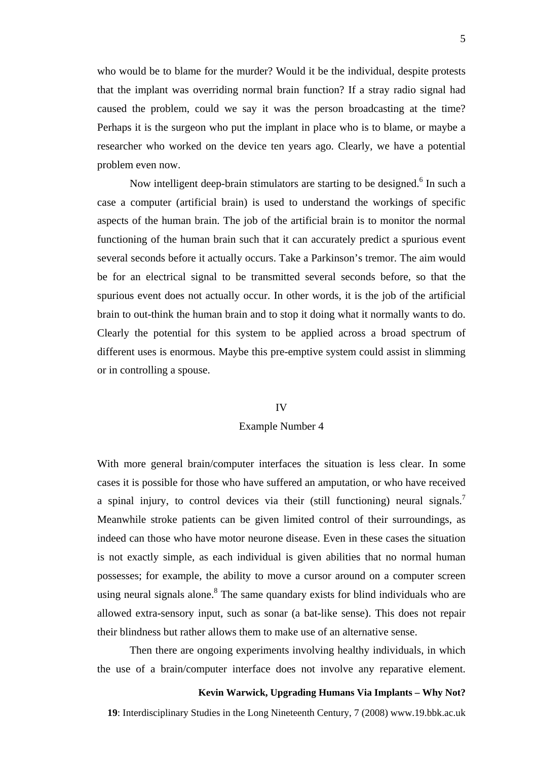who would be to blame for the murder? Would it be the individual, despite protests that the implant was overriding normal brain function? If a stray radio signal had caused the problem, could we say it was the person broadcasting at the time? Perhaps it is the surgeon who put the implant in place who is to blame, or maybe a researcher who worked on the device ten years ago. Clearly, we have a potential problem even now.

Now intelligent deep-brain stimulators are starting to be designed.<sup>[6](#page-9-4)</sup> In such a case a computer (artificial brain) is used to understand the workings of specific aspects of the human brain. The job of the artificial brain is to monitor the normal functioning of the human brain such that it can accurately predict a spurious event several seconds before it actually occurs. Take a Parkinson's tremor. The aim would be for an electrical signal to be transmitted several seconds before, so that the spurious event does not actually occur. In other words, it is the job of the artificial brain to out-think the human brain and to stop it doing what it normally wants to do. Clearly the potential for this system to be applied across a broad spectrum of different uses is enormous. Maybe this pre-emptive system could assist in slimming or in controlling a spouse.

#### IV

### Example Number 4

With more general brain/computer interfaces the situation is less clear. In some cases it is possible for those who have suffered an amputation, or who have received a spinal injury, to control devices via their (still functioning) neural signals.<sup>[7](#page-9-3)</sup> Meanwhile stroke patients can be given limited control of their surroundings, as indeed can those who have motor neurone disease. Even in these cases the situation is not exactly simple, as each individual is given abilities that no normal human possesses; for example, the ability to move a cursor around on a computer screen using neural signals alone.<sup>8</sup> The same quandary exists for blind individuals who are allowed extra-sensory input, such as sonar (a bat-like sense). This does not repair their blindness but rather allows them to make use of an alternative sense.

Then there are ongoing experiments involving healthy individuals, in which the use of a brain/computer interface does not involve any reparative element.

### **Kevin Warwick, Upgrading Humans Via Implants – Why Not?**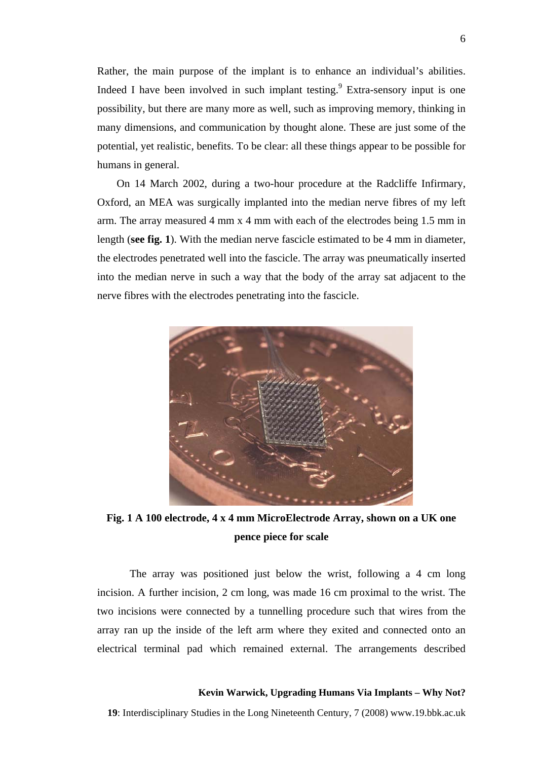Rather, the main purpose of the implant is to enhance an individual's abilities. Indeed I have been involved in such implant testing. Extra-sensory input is one possibility, but there are many more as well, such as improving memory, thinking in many dimensions, and communication by thought alone. These are just some of the potential, yet realistic, benefits. To be clear: all these things appear to be possible for humans in general.

On 14 March 2002, during a two-hour procedure at the Radcliffe Infirmary, Oxford, an MEA was surgically implanted into the median nerve fibres of my left arm. The array measured 4 mm x 4 mm with each of the electrodes being 1.5 mm in length (**see fig. 1**). With the median nerve fascicle estimated to be 4 mm in diameter, the electrodes penetrated well into the fascicle. The array was pneumatically inserted into the median nerve in such a way that the body of the array sat adjacent to the nerve fibres with the electrodes penetrating into the fascicle.



**Fig. 1 A 100 electrode, 4 x 4 mm MicroElectrode Array, shown on a UK one pence piece for scale** 

The array was positioned just below the wrist, following a 4 cm long incision. A further incision, 2 cm long, was made 16 cm proximal to the wrist. The two incisions were connected by a tunnelling procedure such that wires from the array ran up the inside of the left arm where they exited and connected onto an electrical terminal pad which remained external. The arrangements described

### **Kevin Warwick, Upgrading Humans Via Implants – Why Not?**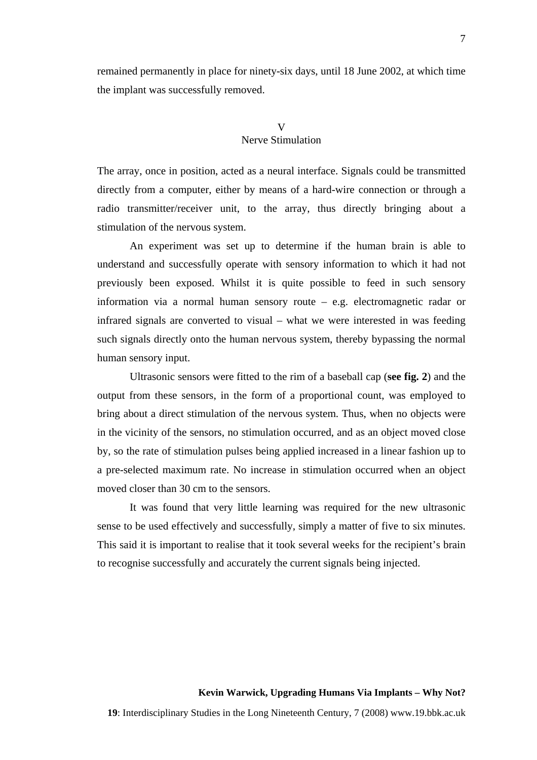remained permanently in place for ninety-six days, until 18 June 2002, at which time the implant was successfully removed.

# V Nerve Stimulation

The array, once in position, acted as a neural interface. Signals could be transmitted directly from a computer, either by means of a hard-wire connection or through a radio transmitter/receiver unit, to the array, thus directly bringing about a stimulation of the nervous system.

An experiment was set up to determine if the human brain is able to understand and successfully operate with sensory information to which it had not previously been exposed. Whilst it is quite possible to feed in such sensory information via a normal human sensory route – e.g. electromagnetic radar or infrared signals are converted to visual – what we were interested in was feeding such signals directly onto the human nervous system, thereby bypassing the normal human sensory input.

Ultrasonic sensors were fitted to the rim of a baseball cap (**see fig. 2**) and the output from these sensors, in the form of a proportional count, was employed to bring about a direct stimulation of the nervous system. Thus, when no objects were in the vicinity of the sensors, no stimulation occurred, and as an object moved close by, so the rate of stimulation pulses being applied increased in a linear fashion up to a pre-selected maximum rate. No increase in stimulation occurred when an object moved closer than 30 cm to the sensors.

It was found that very little learning was required for the new ultrasonic sense to be used effectively and successfully, simply a matter of five to six minutes. This said it is important to realise that it took several weeks for the recipient's brain to recognise successfully and accurately the current signals being injected.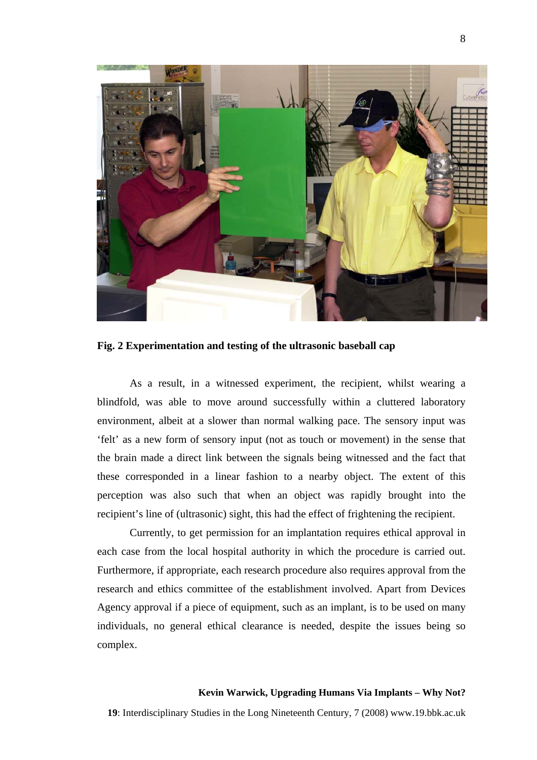

**Fig. 2 Experimentation and testing of the ultrasonic baseball cap** 

As a result, in a witnessed experiment, the recipient, whilst wearing a blindfold, was able to move around successfully within a cluttered laboratory environment, albeit at a slower than normal walking pace. The sensory input was 'felt' as a new form of sensory input (not as touch or movement) in the sense that the brain made a direct link between the signals being witnessed and the fact that these corresponded in a linear fashion to a nearby object. The extent of this perception was also such that when an object was rapidly brought into the recipient's line of (ultrasonic) sight, this had the effect of frightening the recipient.

Currently, to get permission for an implantation requires ethical approval in each case from the local hospital authority in which the procedure is carried out. Furthermore, if appropriate, each research procedure also requires approval from the research and ethics committee of the establishment involved. Apart from Devices Agency approval if a piece of equipment, such as an implant, is to be used on many individuals, no general ethical clearance is needed, despite the issues being so complex.

#### **Kevin Warwick, Upgrading Humans Via Implants – Why Not?**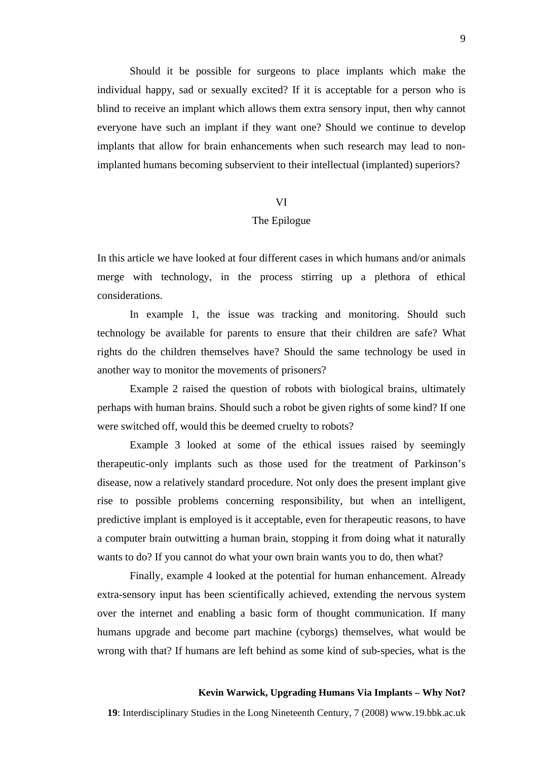Should it be possible for surgeons to place implants which make the individual happy, sad or sexually excited? If it is acceptable for a person who is blind to receive an implant which allows them extra sensory input, then why cannot everyone have such an implant if they want one? Should we continue to develop implants that allow for brain enhancements when such research may lead to nonimplanted humans becoming subservient to their intellectual (implanted) superiors?

### VI

# The Epilogue

In this article we have looked at four different cases in which humans and/or animals merge with technology, in the process stirring up a plethora of ethical considerations.

In example 1, the issue was tracking and monitoring. Should such technology be available for parents to ensure that their children are safe? What rights do the children themselves have? Should the same technology be used in another way to monitor the movements of prisoners?

Example 2 raised the question of robots with biological brains, ultimately perhaps with human brains. Should such a robot be given rights of some kind? If one were switched off, would this be deemed cruelty to robots?

Example 3 looked at some of the ethical issues raised by seemingly therapeutic-only implants such as those used for the treatment of Parkinson's disease, now a relatively standard procedure. Not only does the present implant give rise to possible problems concerning responsibility, but when an intelligent, predictive implant is employed is it acceptable, even for therapeutic reasons, to have a computer brain outwitting a human brain, stopping it from doing what it naturally wants to do? If you cannot do what your own brain wants you to do, then what?

Finally, example 4 looked at the potential for human enhancement. Already extra-sensory input has been scientifically achieved, extending the nervous system over the internet and enabling a basic form of thought communication. If many humans upgrade and become part machine (cyborgs) themselves, what would be wrong with that? If humans are left behind as some kind of sub-species, what is the

#### **Kevin Warwick, Upgrading Humans Via Implants – Why Not?**